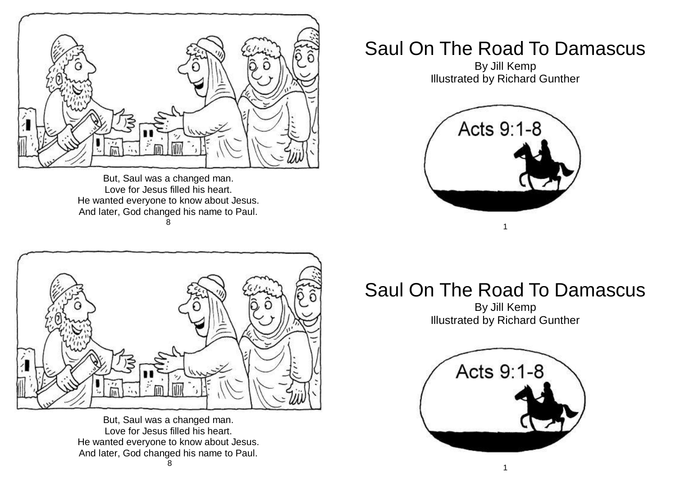

But, Saul was a changed man. Love for Jesus filled his heart. He wanted everyone to know about Jesus. And later, God changed his name to Paul. 8



But, Saul was a changed man. Love for Jesus filled his heart. He wanted everyone to know about Jesus. And later, God changed his name to Paul.

## Saul On The Road To Damascus

By Jill Kemp Illustrated by Richard Gunther



## Saul On The Road To Damascus

By Jill Kemp Illustrated by Richard Gunther

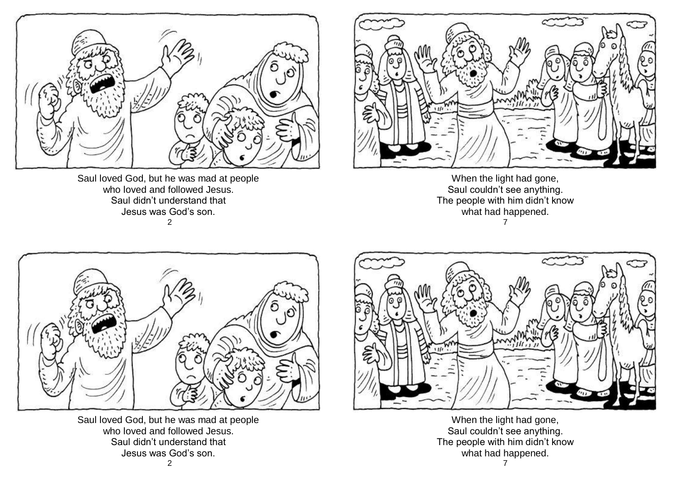

Saul loved God, but he was mad at people who loved and followed Jesus. Saul didn't understand that Jesus was God's son. 2



When the light had gone, Saul couldn't see anything. The people with him didn't know what had happened. 7



Saul loved God, but he was mad at people who loved and followed Jesus. Saul didn't understand that Jesus was God's son.



When the light had gone, Saul couldn't see anything. The people with him didn't know what had happened.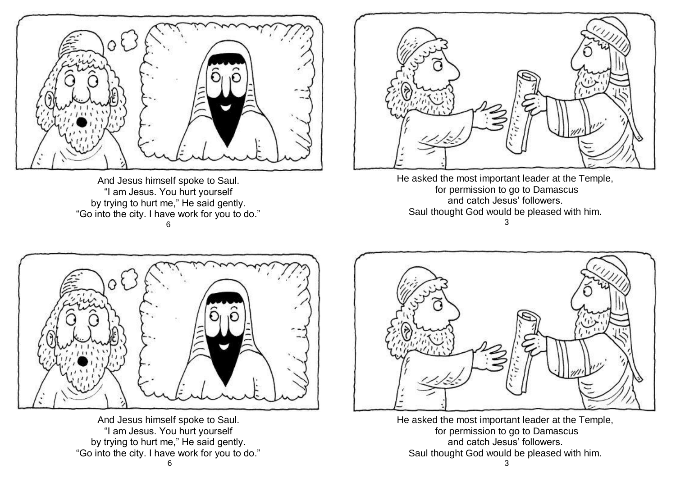

And Jesus himself spoke to Saul. "I am Jesus. You hurt yourself by trying to hurt me," He said gently. "Go into the city. I have work for you to do." 6



He asked the most important leader at the Temple, for permission to go to Damascus and catch Jesus' followers. Saul thought God would be pleased with him. 3



And Jesus himself spoke to Saul. "I am Jesus. You hurt yourself by trying to hurt me," He said gently. "Go into the city. I have work for you to do."



He asked the most important leader at the Temple, for permission to go to Damascus and catch Jesus' followers. Saul thought God would be pleased with him. 3